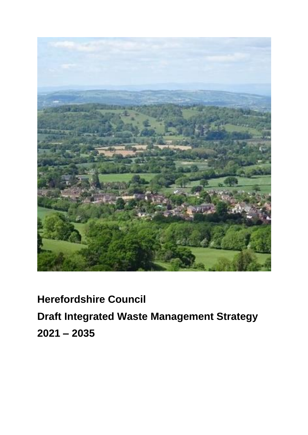

# **Herefordshire Council Draft Integrated Waste Management Strategy 2021 – 2035**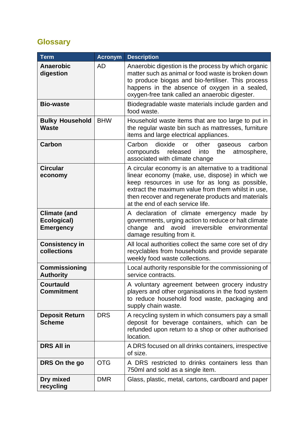# <span id="page-1-0"></span>**Glossary**

| <b>Term</b>                                            | <b>Acronym</b> | <b>Description</b>                                                                                                                                                                                                                                                                                         |
|--------------------------------------------------------|----------------|------------------------------------------------------------------------------------------------------------------------------------------------------------------------------------------------------------------------------------------------------------------------------------------------------------|
| Anaerobic<br>digestion                                 | <b>AD</b>      | Anaerobic digestion is the process by which organic<br>matter such as animal or food waste is broken down<br>to produce biogas and bio-fertiliser. This process<br>happens in the absence of oxygen in a sealed,<br>oxygen-free tank called an anaerobic digester.                                         |
| <b>Bio-waste</b>                                       |                | Biodegradable waste materials include garden and<br>food waste.                                                                                                                                                                                                                                            |
| <b>Bulky Household</b><br><b>Waste</b>                 | <b>BHW</b>     | Household waste items that are too large to put in<br>the regular waste bin such as mattresses, furniture<br>items and large electrical appliances.                                                                                                                                                        |
| Carbon                                                 |                | dioxide<br>Carbon<br>other<br>or<br>carbon<br>gaseous<br>compounds<br>released<br>into<br>the<br>atmosphere,<br>associated with climate change                                                                                                                                                             |
| <b>Circular</b><br>economy                             |                | A circular economy is an alternative to a traditional<br>linear economy (make, use, dispose) in which we<br>keep resources in use for as long as possible,<br>extract the maximum value from them whilst in use,<br>then recover and regenerate products and materials<br>at the end of each service life. |
| <b>Climate (and</b><br>Ecological)<br><b>Emergency</b> |                | A declaration of climate emergency made by<br>governments, urging action to reduce or halt climate<br>and avoid irreversible<br>change<br>environmental<br>damage resulting from it.                                                                                                                       |
| <b>Consistency in</b><br>collections                   |                | All local authorities collect the same core set of dry<br>recyclables from households and provide separate<br>weekly food waste collections.                                                                                                                                                               |
| <b>Commissioning</b><br><b>Authority</b>               |                | Local authority responsible for the commissioning of<br>service contracts.                                                                                                                                                                                                                                 |
| <b>Courtauld</b><br><b>Commitment</b>                  |                | A voluntary agreement between grocery industry<br>players and other organisations in the food system<br>to reduce household food waste, packaging and<br>supply chain waste.                                                                                                                               |
| <b>Deposit Return</b><br><b>Scheme</b>                 | <b>DRS</b>     | A recycling system in which consumers pay a small<br>deposit for beverage containers, which can be<br>refunded upon return to a shop or other authorised<br>location.                                                                                                                                      |
| <b>DRS All in</b>                                      |                | A DRS focused on all drinks containers, irrespective<br>of size.                                                                                                                                                                                                                                           |
| DRS On the go                                          | <b>OTG</b>     | A DRS restricted to drinks containers less than<br>750ml and sold as a single item.                                                                                                                                                                                                                        |
| Dry mixed<br>recycling                                 | <b>DMR</b>     | Glass, plastic, metal, cartons, cardboard and paper                                                                                                                                                                                                                                                        |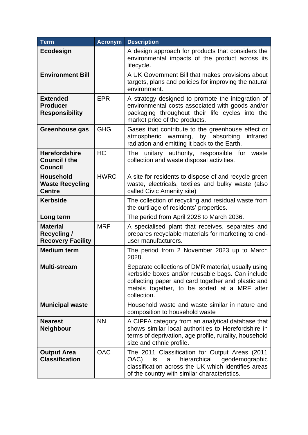| <b>Term</b>                                                       | <b>Acronym</b> | <b>Description</b>                                                                                                                                                                                                           |
|-------------------------------------------------------------------|----------------|------------------------------------------------------------------------------------------------------------------------------------------------------------------------------------------------------------------------------|
| Ecodesign                                                         |                | A design approach for products that considers the<br>environmental impacts of the product across its<br>lifecycle.                                                                                                           |
| <b>Environment Bill</b>                                           |                | A UK Government Bill that makes provisions about<br>targets, plans and policies for improving the natural<br>environment.                                                                                                    |
| <b>Extended</b><br><b>Producer</b><br><b>Responsibility</b>       | <b>EPR</b>     | A strategy designed to promote the integration of<br>environmental costs associated with goods and/or<br>packaging throughout their life cycles into the<br>market price of the products.                                    |
| Greenhouse gas                                                    | <b>GHG</b>     | Gases that contribute to the greenhouse effect or<br>by absorbing<br>warming,<br>infrared<br>atmospheric<br>radiation and emitting it back to the Earth.                                                                     |
| <b>Herefordshire</b><br><b>Council / the</b><br><b>Council</b>    | <b>HC</b>      | unitary authority, responsible for<br>The<br>waste<br>collection and waste disposal activities.                                                                                                                              |
| <b>Household</b><br><b>Waste Recycling</b><br><b>Centre</b>       | <b>HWRC</b>    | A site for residents to dispose of and recycle green<br>waste, electricals, textiles and bulky waste (also<br>called Civic Amenity site)                                                                                     |
| <b>Kerbside</b>                                                   |                | The collection of recycling and residual waste from<br>the curtilage of residents' properties.                                                                                                                               |
| Long term                                                         |                | The period from April 2028 to March 2036.                                                                                                                                                                                    |
| <b>Material</b><br><b>Recycling /</b><br><b>Recovery Facility</b> | <b>MRF</b>     | A specialised plant that receives, separates and<br>prepares recyclable materials for marketing to end-<br>user manufacturers.                                                                                               |
| <b>Medium term</b>                                                |                | The period from 2 November 2023 up to March<br>2028.                                                                                                                                                                         |
| <b>Multi-stream</b>                                               |                | Separate collections of DMR material, usually using<br>kerbside boxes and/or reusable bags. Can include<br>collecting paper and card together and plastic and<br>metals together, to be sorted at a MRF after<br>collection. |
| <b>Municipal waste</b>                                            |                | Household waste and waste similar in nature and<br>composition to household waste                                                                                                                                            |
| <b>Nearest</b><br><b>Neighbour</b>                                | <b>NN</b>      | A CIPFA category from an analytical database that<br>shows similar local authorities to Herefordshire in<br>terms of deprivation, age profile, rurality, household<br>size and ethnic profile.                               |
| <b>Output Area</b><br><b>Classification</b>                       | <b>OAC</b>     | The 2011 Classification for Output Areas (2011<br>hierarchical geodemographic<br>OAC) is<br>a<br>classification across the UK which identifies areas<br>of the country with similar characteristics.                         |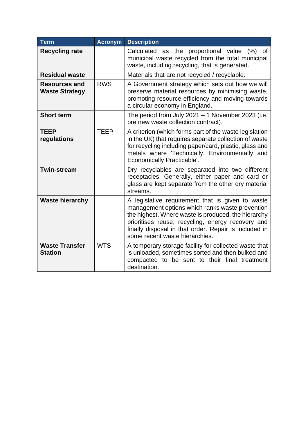| Term                                    | <b>Acronym</b> | <b>Description</b>                                                                                                                                                                                                                                                                                         |  |  |
|-----------------------------------------|----------------|------------------------------------------------------------------------------------------------------------------------------------------------------------------------------------------------------------------------------------------------------------------------------------------------------------|--|--|
| <b>Recycling rate</b>                   |                | Calculated as the proportional value<br>$(\%)$ of<br>municipal waste recycled from the total municipal<br>waste, including recycling, that is generated.                                                                                                                                                   |  |  |
| <b>Residual waste</b>                   |                | Materials that are not recycled / recyclable.                                                                                                                                                                                                                                                              |  |  |
| Resources and<br><b>Waste Strategy</b>  | <b>RWS</b>     | A Government strategy which sets out how we will<br>preserve material resources by minimising waste,<br>promoting resource efficiency and moving towards<br>a circular economy in England.                                                                                                                 |  |  |
| <b>Short term</b>                       |                | The period from July $2021 - 1$ November 2023 (i.e.<br>pre new waste collection contract).                                                                                                                                                                                                                 |  |  |
| <b>TEEP</b><br>regulations              | <b>TEEP</b>    | A criterion (which forms part of the waste legislation<br>in the UK) that requires separate collection of waste<br>for recycling including paper/card, plastic, glass and<br>metals where 'Technically, Environmentally and<br>Economically Practicable'.                                                  |  |  |
| <b>Twin-stream</b>                      |                | Dry recyclables are separated into two different<br>receptacles. Generally, either paper and card or<br>glass are kept separate from the other dry material<br>streams.                                                                                                                                    |  |  |
| <b>Waste hierarchy</b>                  |                | A legislative requirement that is given to waste<br>management options which ranks waste prevention<br>the highest. Where waste is produced, the hierarchy<br>prioritises reuse, recycling, energy recovery and<br>finally disposal in that order. Repair is included in<br>some recent waste hierarchies. |  |  |
| <b>Waste Transfer</b><br><b>Station</b> | <b>WTS</b>     | A temporary storage facility for collected waste that<br>is unloaded, sometimes sorted and then bulked and<br>compacted to be sent to their final treatment<br>destination.                                                                                                                                |  |  |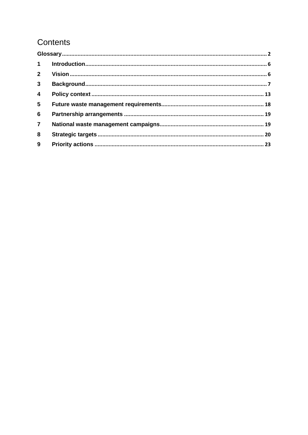# Contents

| $\mathbf 1$             |  |
|-------------------------|--|
| $2^{\circ}$             |  |
| 3 <sup>1</sup>          |  |
| $\overline{\mathbf{4}}$ |  |
| $5\phantom{.0}$         |  |
| 6                       |  |
| $\overline{7}$          |  |
| 8                       |  |
| 9                       |  |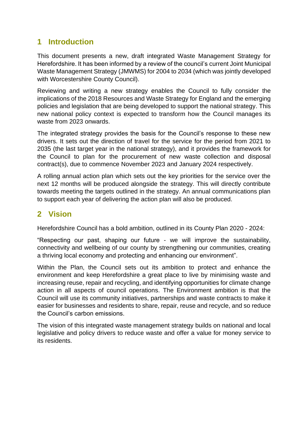### <span id="page-5-0"></span>**1 Introduction**

This document presents a new, draft integrated Waste Management Strategy for Herefordshire. It has been informed by a review of the council's current Joint Municipal Waste Management Strategy (JMWMS) for 2004 to 2034 (which was jointly developed with Worcestershire County Council).

Reviewing and writing a new strategy enables the Council to fully consider the implications of the 2018 Resources and Waste Strategy for England and the emerging policies and legislation that are being developed to support the national strategy. This new national policy context is expected to transform how the Council manages its waste from 2023 onwards.

The integrated strategy provides the basis for the Council's response to these new drivers. It sets out the direction of travel for the service for the period from 2021 to 2035 (the last target year in the national strategy), and it provides the framework for the Council to plan for the procurement of new waste collection and disposal contract(s), due to commence November 2023 and January 2024 respectively.

A rolling annual action plan which sets out the key priorities for the service over the next 12 months will be produced alongside the strategy. This will directly contribute towards meeting the targets outlined in the strategy. An annual communications plan to support each year of delivering the action plan will also be produced.

### <span id="page-5-1"></span>**2 Vision**

Herefordshire Council has a bold ambition, outlined in its County Plan 2020 - 2024:

"Respecting our past, shaping our future - we will improve the sustainability, connectivity and wellbeing of our county by strengthening our communities, creating a thriving local economy and protecting and enhancing our environment".

Within the Plan, the Council sets out its ambition to protect and enhance the environment and keep Herefordshire a great place to live by minimising waste and increasing reuse, repair and recycling, and identifying opportunities for climate change action in all aspects of council operations. The Environment ambition is that the Council will use its community initiatives, partnerships and waste contracts to make it easier for businesses and residents to share, repair, reuse and recycle, and so reduce the Council's carbon emissions.

The vision of this integrated waste management strategy builds on national and local legislative and policy drivers to reduce waste and offer a value for money service to its residents.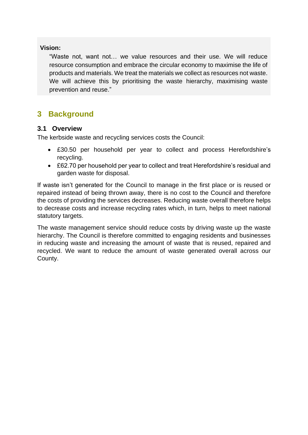#### **Vision:**

"Waste not, want not… we value resources and their use. We will reduce resource consumption and embrace the circular economy to maximise the life of products and materials. We treat the materials we collect as resources not waste. We will achieve this by prioritising the waste hierarchy, maximising waste prevention and reuse."

# <span id="page-6-0"></span>**3 Background**

### **3.1 Overview**

The kerbside waste and recycling services costs the Council:

- £30.50 per household per year to collect and process Herefordshire's recycling.
- £62.70 per household per year to collect and treat Herefordshire's residual and garden waste for disposal.

If waste isn't generated for the Council to manage in the first place or is reused or repaired instead of being thrown away, there is no cost to the Council and therefore the costs of providing the services decreases. Reducing waste overall therefore helps to decrease costs and increase recycling rates which, in turn, helps to meet national statutory targets.

The waste management service should reduce costs by driving waste up the waste hierarchy. The Council is therefore committed to engaging residents and businesses in reducing waste and increasing the amount of waste that is reused, repaired and recycled. We want to reduce the amount of waste generated overall across our County.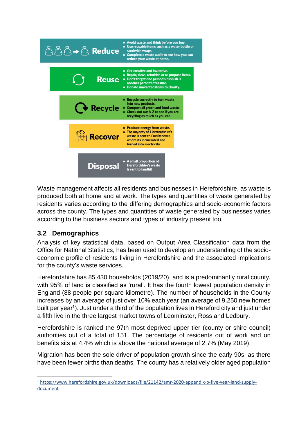

Waste management affects all residents and businesses in Herefordshire, as waste is produced both at home and at work. The types and quantities of waste generated by residents varies according to the differing demographics and socio-economic factors across the county. The types and quantities of waste generated by businesses varies according to the business sectors and types of industry present too.

### **3.2 Demographics**

Analysis of key statistical data, based on Output Area Classification data from the Office for National Statistics, has been used to develop an understanding of the socioeconomic profile of residents living in Herefordshire and the associated implications for the county's waste services.

Herefordshire has 85,430 households (2019/20), and is a predominantly rural county, with 95% of land is classified as 'rural'. It has the fourth lowest population density in England (88 people per square kilometre). The number of households in the County increases by an average of just over 10% each year (an average of 9,250 new homes built per year<sup>1</sup>). Just under a third of the population lives in Hereford city and just under a fifth live in the three largest market towns of Leominster, Ross and Ledbury.

Herefordshire is ranked the 97th most deprived upper tier (county or shire council) authorities out of a total of 151. The percentage of residents out of work and on benefits sits at 4.4% which is above the national average of 2.7% (May 2019).

Migration has been the sole driver of population growth since the early 90s, as there have been fewer births than deaths. The county has a relatively older aged population

<sup>1</sup> [https://www.herefordshire.gov.uk/downloads/file/21142/amr-2020-appendix-b-five-year-land-supply](https://www.herefordshire.gov.uk/downloads/file/21142/amr-2020-appendix-b-five-year-land-supply-document)[document](https://www.herefordshire.gov.uk/downloads/file/21142/amr-2020-appendix-b-five-year-land-supply-document)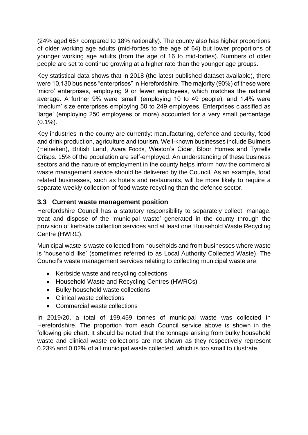(24% aged 65+ compared to 18% nationally). The county also has higher proportions of older working age adults (mid-forties to the age of 64) but lower proportions of younger working age adults (from the age of 16 to mid-forties). Numbers of older people are set to continue growing at a higher rate than the younger age groups.

Key statistical data shows that in 2018 (the latest published dataset available), there were 10,130 business "enterprises" in Herefordshire. The majority (90%) of these were 'micro' enterprises, employing 9 or fewer employees, which matches the national average. A further 9% were 'small' (employing 10 to 49 people), and 1.4% were 'medium' size enterprises employing 50 to 249 employees. Enterprises classified as 'large' (employing 250 employees or more) accounted for a very small percentage  $(0.1\%)$ .

Key industries in the county are currently: manufacturing, defence and security, food and drink production, agriculture and tourism. Well-known businesses include Bulmers (Heineken), British Land, Avara Foods, Weston's Cider, Bloor Homes and Tyrrells Crisps. 15% of the population are self-employed. An understanding of these business sectors and the nature of employment in the county helps inform how the commercial waste management service should be delivered by the Council. As an example, food related businesses, such as hotels and restaurants, will be more likely to require a separate weekly collection of food waste recycling than the defence sector.

### **3.3 Current waste management position**

Herefordshire Council has a statutory responsibility to separately collect, manage, treat and dispose of the 'municipal waste' generated in the county through the provision of kerbside collection services and at least one Household Waste Recycling Centre (HWRC).

Municipal waste is waste collected from households and from businesses where waste is 'household like' (sometimes referred to as Local Authority Collected Waste). The Council's waste management services relating to collecting municipal waste are:

- Kerbside waste and recycling collections
- Household Waste and Recycling Centres (HWRCs)
- Bulky household waste collections
- Clinical waste collections
- Commercial waste collections

In 2019/20, a total of 199,459 tonnes of municipal waste was collected in Herefordshire. The proportion from each Council service above is shown in the following pie chart. It should be noted that the tonnage arising from bulky household waste and clinical waste collections are not shown as they respectively represent 0.23% and 0.02% of all municipal waste collected, which is too small to illustrate.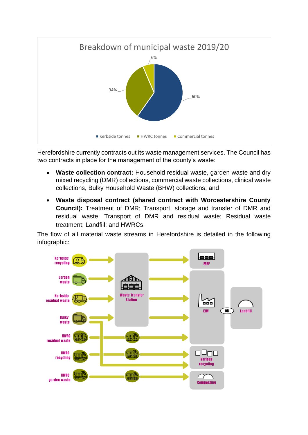

Herefordshire currently contracts out its waste management services. The Council has two contracts in place for the management of the county's waste:

- **Waste collection contract:** Household residual waste, garden waste and dry mixed recycling (DMR) collections, commercial waste collections, clinical waste collections, Bulky Household Waste (BHW) collections; and
- **Waste disposal contract (shared contract with Worcestershire County Council):** Treatment of DMR; Transport, storage and transfer of DMR and residual waste; Transport of DMR and residual waste; Residual waste treatment; Landfill; and HWRCs.

The flow of all material waste streams in Herefordshire is detailed in the following infographic:

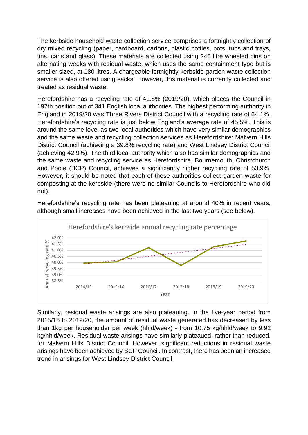The kerbside household waste collection service comprises a fortnightly collection of dry mixed recycling (paper, cardboard, cartons, plastic bottles, pots, tubs and trays, tins, cans and glass). These materials are collected using 240 litre wheeled bins on alternating weeks with residual waste, which uses the same containment type but is smaller sized, at 180 litres. A chargeable fortnightly kerbside garden waste collection service is also offered using sacks. However, this material is currently collected and treated as residual waste.

Herefordshire has a recycling rate of 41.8% (2019/20), which places the Council in 197th position out of 341 English local authorities. The highest performing authority in England in 2019/20 was Three Rivers District Council with a recycling rate of 64.1%. Herefordshire's recycling rate is just below England's average rate of 45.5%. This is around the same level as two local authorities which have very similar demographics and the same waste and recycling collection services as Herefordshire: Malvern Hills District Council (achieving a 39.8% recycling rate) and West Lindsey District Council (achieving 42.9%). The third local authority which also has similar demographics and the same waste and recycling service as Herefordshire, Bournemouth, Christchurch and Poole (BCP) Council, achieves a significantly higher recycling rate of 53.9%. However, it should be noted that each of these authorities collect garden waste for composting at the kerbside (there were no similar Councils to Herefordshire who did not).

Herefordshire's recycling rate has been plateauing at around 40% in recent years, although small increases have been achieved in the last two years (see below).



Similarly, residual waste arisings are also plateauing. In the five-year period from 2015/16 to 2019/20, the amount of residual waste generated has decreased by less than 1kg per householder per week (hhld/week) - from 10.75 kg/hhld/week to 9.92 kg/hhld/week. Residual waste arisings have similarly plateaued, rather than reduced, for Malvern Hills District Council. However, significant reductions in residual waste arisings have been achieved by BCP Council. In contrast, there has been an increased trend in arisings for West Lindsey District Council.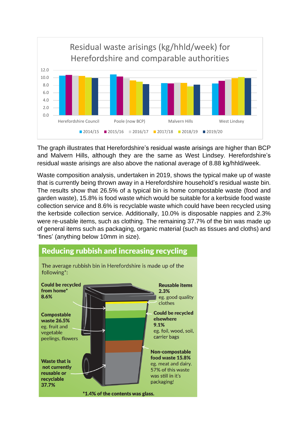

The graph illustrates that Herefordshire's residual waste arisings are higher than BCP and Malvern Hills, although they are the same as West Lindsey. Herefordshire's residual waste arisings are also above the national average of 8.88 kg/hhld/week.

Waste composition analysis, undertaken in 2019, shows the typical make up of waste that is currently being thrown away in a Herefordshire household's residual waste bin. The results show that 26.5% of a typical bin is home compostable waste (food and garden waste), 15.8% is food waste which would be suitable for a kerbside food waste collection service and 8.6% is recyclable waste which could have been recycled using the kerbside collection service. Additionally, 10.0% is disposable nappies and 2.3% were re-usable items, such as clothing. The remaining 37.7% of the bin was made up of general items such as packaging, organic material (such as tissues and cloths) and 'fines' (anything below 10mm in size).

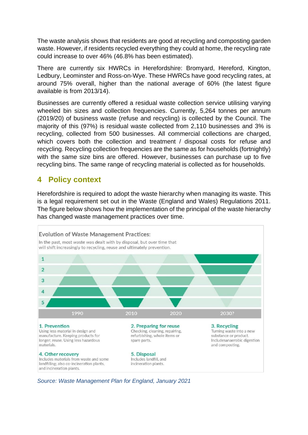The waste analysis shows that residents are good at recycling and composting garden waste. However, if residents recycled everything they could at home, the recycling rate could increase to over 46% (46.8% has been estimated).

There are currently six HWRCs in Herefordshire: Bromyard, Hereford, Kington, Ledbury, Leominster and Ross-on-Wye. These HWRCs have good recycling rates, at around 75% overall, higher than the national average of 60% (the latest figure available is from 2013/14).

Businesses are currently offered a residual waste collection service utilising varying wheeled bin sizes and collection frequencies. Currently, 5,264 tonnes per annum (2019/20) of business waste (refuse and recycling) is collected by the Council. The majority of this (97%) is residual waste collected from 2,110 businesses and 3% is recycling, collected from 500 businesses. All commercial collections are charged, which covers both the collection and treatment / disposal costs for refuse and recycling. Recycling collection frequencies are the same as for households (fortnightly) with the same size bins are offered. However, businesses can purchase up to five recycling bins. The same range of recycling material is collected as for households.

### <span id="page-12-0"></span>**4 Policy context**

Herefordshire is required to adopt the waste hierarchy when managing its waste. This is a legal requirement set out in the Waste (England and Wales) Regulations 2011. The figure below shows how the implementation of the principal of the waste hierarchy has changed waste management practices over time.



*Source: Waste Management Plan for England, January 2021*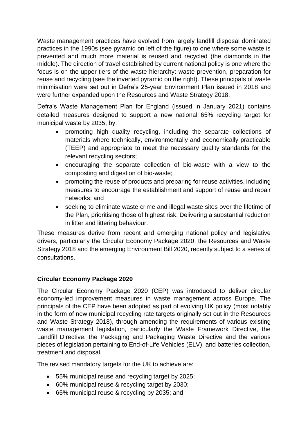Waste management practices have evolved from largely landfill disposal dominated practices in the 1990s (see pyramid on left of the figure) to one where some waste is prevented and much more material is reused and recycled (the diamonds in the middle). The direction of travel established by current national policy is one where the focus is on the upper tiers of the waste hierarchy: waste prevention, preparation for reuse and recycling (see the inverted pyramid on the right). These principals of waste minimisation were set out in Defra's 25-year Environment Plan issued in 2018 and were further expanded upon the Resources and Waste Strategy 2018.

Defra's Waste Management Plan for England (issued in January 2021) contains detailed measures designed to support a new national 65% recycling target for municipal waste by 2035, by:

- promoting high quality recycling, including the separate collections of materials where technically, environmentally and economically practicable (TEEP) and appropriate to meet the necessary quality standards for the relevant recycling sectors;
- encouraging the separate collection of bio-waste with a view to the composting and digestion of bio-waste;
- promoting the reuse of products and preparing for reuse activities, including measures to encourage the establishment and support of reuse and repair networks; and
- seeking to eliminate waste crime and illegal waste sites over the lifetime of the Plan, prioritising those of highest risk. Delivering a substantial reduction in litter and littering behaviour.

These measures derive from recent and emerging national policy and legislative drivers, particularly the Circular Economy Package 2020, the Resources and Waste Strategy 2018 and the emerging Environment Bill 2020, recently subject to a series of consultations.

### **Circular Economy Package 2020**

The Circular Economy Package 2020 (CEP) was introduced to deliver circular economy-led improvement measures in waste management across Europe. The principals of the CEP have been adopted as part of evolving UK policy (most notably in the form of new municipal recycling rate targets originally set out in the Resources and Waste Strategy 2018), through amending the requirements of various existing waste management legislation, particularly the Waste Framework Directive, the Landfill Directive, the Packaging and Packaging Waste Directive and the various pieces of legislation pertaining to End-of-Life Vehicles (ELV), and batteries collection, treatment and disposal.

The revised mandatory targets for the UK to achieve are:

- 55% municipal reuse and recycling target by 2025;
- 60% municipal reuse & recycling target by 2030;
- 65% municipal reuse & recycling by 2035; and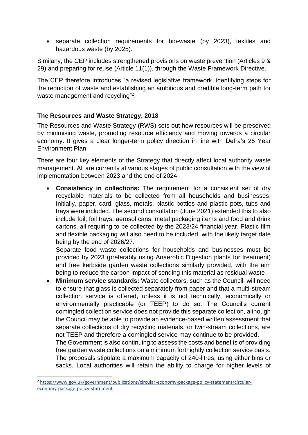• separate collection requirements for bio-waste (by 2023), textiles and hazardous waste (by 2025).

Similarly, the CEP includes strengthened provisions on waste prevention (Articles 9 & 29) and preparing for reuse (Article 11(1)), through the Waste Framework Directive.

The CEP therefore introduces "a revised legislative framework, identifying steps for the reduction of waste and establishing an ambitious and credible long-term path for waste management and recycling"<sup>2</sup>.

### **The Resources and Waste Strategy, 2018**

The Resources and Waste Strategy (RWS) sets out how resources will be preserved by minimising waste, promoting resource efficiency and moving towards a circular economy. It gives a clear longer-term policy direction in line with Defra's 25 Year Environment Plan.

There are four key elements of the Strategy that directly affect local authority waste management. All are currently at various stages of public consultation with the view of implementation between 2023 and the end of 2024:

• **Consistency in collections:** The requirement for a consistent set of dry recyclable materials to be collected from all households and businesses. Initially, paper, card, glass, metals, plastic bottles and plastic pots, tubs and trays were included. The second consultation (June 2021) extended this to also include foil, foil trays, aerosol cans, metal packaging items and food and drink cartons, all requiring to be collected by the 2023/24 financial year. Plastic film and flexible packaging will also need to be included, with the likely target date being by the end of 2026/27.

Separate food waste collections for households and businesses must be provided by 2023 (preferably using Anaerobic Digestion plants for treatment) and free kerbside garden waste collections similarly provided, with the aim being to reduce the carbon impact of sending this material as residual waste.

• **Minimum service standards:** Waste collectors, such as the Council, will need to ensure that glass is collected separately from paper and that a multi-stream collection service is offered, unless it is not technically, economically or environmentally practicable (or TEEP) to do so. The Council's current comingled collection service does not provide this separate collection, although the Council may be able to provide an evidence-based written assessment that separate collections of dry recycling materials, or twin-stream collections, are not TEEP and therefore a comingled service may continue to be provided.

The Government is also continuing to assess the costs and benefits of providing free garden waste collections on a minimum fortnightly collection service basis. The proposals stipulate a maximum capacity of 240-litres, using either bins or sacks. Local authorities will retain the ability to charge for higher levels of

<sup>2</sup> [https://www.gov.uk/government/publications/circular-economy-package-policy-statement/circular](https://www.gov.uk/government/publications/circular-economy-package-policy-statement/circular-economy-package-policy-statement)[economy-package-policy-statement](https://www.gov.uk/government/publications/circular-economy-package-policy-statement/circular-economy-package-policy-statement)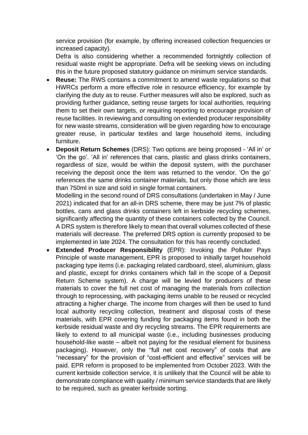service provision (for example, by offering increased collection frequencies or increased capacity).

Defra is also considering whether a recommended fortnightly collection of residual waste might be appropriate. Defra will be seeking views on including this in the future proposed statutory guidance on minimum service standards.

- **Reuse:** The RWS contains a commitment to amend waste regulations so that HWRCs perform a more effective role in resource efficiency, for example by clarifying the duty as to reuse. Further measures will also be explored, such as providing further guidance, setting reuse targets for local authorities, requiring them to set their own targets, or requiring reporting to encourage provision of reuse facilities. In reviewing and consulting on extended producer responsibility for new waste streams, consideration will be given regarding how to encourage greater reuse, in particular textiles and large household items, including furniture.
- **Deposit Return Schemes** (DRS): Two options are being proposed 'All in' or 'On the go'. 'All in' references that cans, plastic and glass drinks containers, regardless of size, would be within the deposit system, with the purchaser receiving the deposit once the item was returned to the vendor. 'On the go' references the same drinks container materials, but only those which are less than 750ml in size and sold in single format containers.

Modelling in the second round of DRS consultations (undertaken in May / June 2021) indicated that for an all-in DRS scheme, there may be just 7% of plastic bottles, cans and glass drinks containers left in kerbside recycling schemes, significantly affecting the quantity of these containers collected by the Council. A DRS system is therefore likely to mean that overall volumes collected of these materials will decrease. The preferred DRS option is currently proposed to be implemented in late 2024. The consultation for this has recently concluded.

• **Extended Producer Responsibility** (EPR): Invoking the Polluter Pays Principle of waste management, EPR is proposed to initially target household packaging type items (i.e. packaging related cardboard, steel, aluminium, glass and plastic, except for drinks containers which fall in the scope of a Deposit Return Scheme system). A charge will be levied for producers of these materials to cover the full net cost of managing the materials from collection through to reprocessing, with packaging items unable to be reused or recycled attracting a higher charge. The income from charges will then be used to fund local authority recycling collection, treatment and disposal costs of these materials, with EPR covering funding for packaging items found in both the kerbside residual waste and dry recycling streams. The EPR requirements are likely to extend to all municipal waste (i.e., including businesses producing household-like waste – albeit not paying for the residual element for business packaging). However, only the "full net cost recovery" of costs that are "necessary" for the provision of "cost-efficient and effective" services will be paid. EPR reform is proposed to be implemented from October 2023. With the current kerbside collection service, it is unlikely that the Council will be able to demonstrate compliance with quality / minimum service standards that are likely to be required, such as greater kerbside sorting.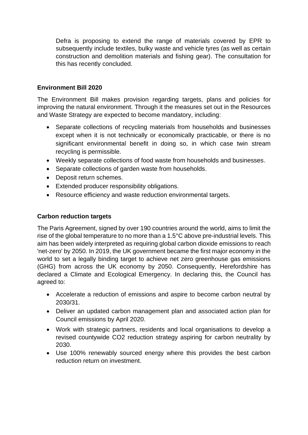Defra is proposing to extend the range of materials covered by EPR to subsequently include textiles, bulky waste and vehicle tyres (as well as certain construction and demolition materials and fishing gear). The consultation for this has recently concluded.

### **Environment Bill 2020**

The Environment Bill makes provision regarding targets, plans and policies for improving the natural environment. Through it the measures set out in the Resources and Waste Strategy are expected to become mandatory, including:

- Separate collections of recycling materials from households and businesses except when it is not technically or economically practicable, or there is no significant environmental benefit in doing so, in which case twin stream recycling is permissible.
- Weekly separate collections of food waste from households and businesses.
- Separate collections of garden waste from households.
- Deposit return schemes.
- Extended producer responsibility obligations.
- Resource efficiency and waste reduction environmental targets.

### **Carbon reduction targets**

The Paris Agreement, signed by over 190 countries around the world, aims to limit the rise of the global temperature to no more than a 1.5°C above pre-industrial levels. This aim has been widely interpreted as requiring global carbon dioxide emissions to reach 'net-zero' by 2050. In 2019, the UK government became the first major economy in the world to set a legally binding target to achieve net zero greenhouse gas emissions (GHG) from across the UK economy by 2050. Consequently, Herefordshire has declared a Climate and Ecological Emergency. In declaring this, the Council has agreed to:

- Accelerate a reduction of emissions and aspire to become carbon neutral by 2030/31.
- Deliver an updated carbon management plan and associated action plan for Council emissions by April 2020.
- Work with strategic partners, residents and local organisations to develop a revised countywide CO2 reduction strategy aspiring for carbon neutrality by 2030.
- Use 100% renewably sourced energy where this provides the best carbon reduction return on investment.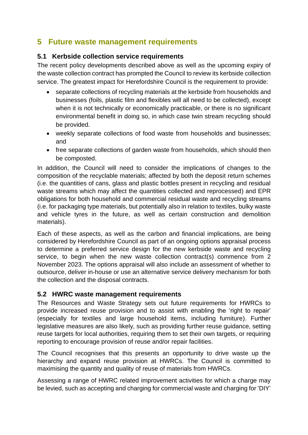# <span id="page-17-0"></span>**5 Future waste management requirements**

### **5.1 Kerbside collection service requirements**

The recent policy developments described above as well as the upcoming expiry of the waste collection contract has prompted the Council to review its kerbside collection service. The greatest impact for Herefordshire Council is the requirement to provide:

- separate collections of recycling materials at the kerbside from households and businesses (foils, plastic film and flexibles will all need to be collected), except when it is not technically or economically practicable, or there is no significant environmental benefit in doing so, in which case twin stream recycling should be provided.
- weekly separate collections of food waste from households and businesses; and
- free separate collections of garden waste from households, which should then be composted.

In addition, the Council will need to consider the implications of changes to the composition of the recyclable materials; affected by both the deposit return schemes (i.e. the quantities of cans, glass and plastic bottles present in recycling and residual waste streams which may affect the quantities collected and reprocessed) and EPR obligations for both household and commercial residual waste and recycling streams (i.e. for packaging type materials, but potentially also in relation to textiles, bulky waste and vehicle tyres in the future, as well as certain construction and demolition materials).

Each of these aspects, as well as the carbon and financial implications, are being considered by Herefordshire Council as part of an ongoing options appraisal process to determine a preferred service design for the new kerbside waste and recycling service, to begin when the new waste collection contract(s) commence from 2 November 2023. The options appraisal will also include an assessment of whether to outsource, deliver in-house or use an alternative service delivery mechanism for both the collection and the disposal contracts.

### **5.2 HWRC waste management requirements**

The Resources and Waste Strategy sets out future requirements for HWRCs to provide increased reuse provision and to assist with enabling the 'right to repair' (especially for textiles and large household items, including furniture). Further legislative measures are also likely, such as providing further reuse guidance, setting reuse targets for local authorities, requiring them to set their own targets, or requiring reporting to encourage provision of reuse and/or repair facilities.

The Council recognises that this presents an opportunity to drive waste up the hierarchy and expand reuse provision at HWRCs. The Council is committed to maximising the quantity and quality of reuse of materials from HWRCs.

Assessing a range of HWRC related improvement activities for which a charge may be levied, such as accepting and charging for commercial waste and charging for 'DIY'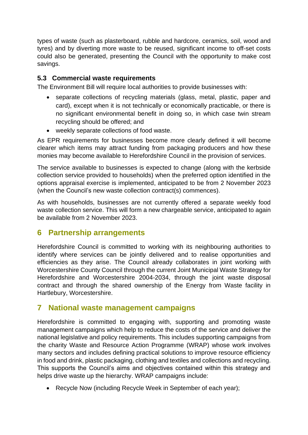types of waste (such as plasterboard, rubble and hardcore, ceramics, soil, wood and tyres) and by diverting more waste to be reused, significant income to off-set costs could also be generated, presenting the Council with the opportunity to make cost savings.

### **5.3 Commercial waste requirements**

The Environment Bill will require local authorities to provide businesses with:

- separate collections of recycling materials (glass, metal, plastic, paper and card), except when it is not technically or economically practicable, or there is no significant environmental benefit in doing so, in which case twin stream recycling should be offered; and
- weekly separate collections of food waste.

As EPR requirements for businesses become more clearly defined it will become clearer which items may attract funding from packaging producers and how these monies may become available to Herefordshire Council in the provision of services.

The service available to businesses is expected to change (along with the kerbside collection service provided to households) when the preferred option identified in the options appraisal exercise is implemented, anticipated to be from 2 November 2023 (when the Council's new waste collection contract(s) commences).

As with households, businesses are not currently offered a separate weekly food waste collection service. This will form a new chargeable service, anticipated to again be available from 2 November 2023.

### <span id="page-18-0"></span>**6 Partnership arrangements**

Herefordshire Council is committed to working with its neighbouring authorities to identify where services can be jointly delivered and to realise opportunities and efficiencies as they arise. The Council already collaborates in joint working with Worcestershire County Council through the current Joint Municipal Waste Strategy for Herefordshire and Worcestershire 2004-2034, through the joint waste disposal contract and through the shared ownership of the Energy from Waste facility in Hartlebury, Worcestershire.

### <span id="page-18-1"></span>**7 National waste management campaigns**

Herefordshire is committed to engaging with, supporting and promoting waste management campaigns which help to reduce the costs of the service and deliver the national legislative and policy requirements. This includes supporting campaigns from the charity Waste and Resource Action Programme (WRAP) whose work involves many sectors and includes defining practical solutions to improve resource efficiency in food and drink, plastic packaging, clothing and textiles and collections and recycling. This supports the Council's aims and objectives contained within this strategy and helps drive waste up the hierarchy. WRAP campaigns include:

• Recycle Now (including Recycle Week in September of each year);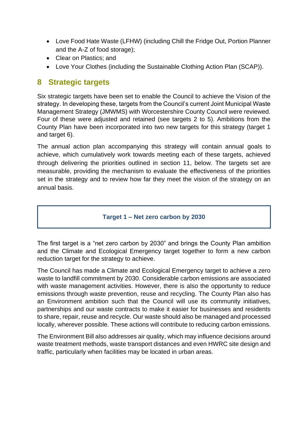- Love Food Hate Waste (LFHW) (including Chill the Fridge Out, Portion Planner and the A-Z of food storage);
- Clear on Plastics; and
- Love Your Clothes (including the Sustainable Clothing Action Plan (SCAP)).

### <span id="page-19-0"></span>**8 Strategic targets**

Six strategic targets have been set to enable the Council to achieve the Vision of the strategy. In developing these, targets from the Council's current Joint Municipal Waste Management Strategy (JMWMS) with Worcestershire County Council were reviewed. Four of these were adjusted and retained (see targets 2 to 5). Ambitions from the County Plan have been incorporated into two new targets for this strategy (target 1 and target 6).

The annual action plan accompanying this strategy will contain annual goals to achieve, which cumulatively work towards meeting each of these targets, achieved through delivering the priorities outlined in section 11, below. The targets set are measurable, providing the mechanism to evaluate the effectiveness of the priorities set in the strategy and to review how far they meet the vision of the strategy on an annual basis.

#### **Target 1 – Net zero carbon by 2030**

The first target is a "net zero carbon by 2030" and brings the County Plan ambition and the Climate and Ecological Emergency target together to form a new carbon reduction target for the strategy to achieve.

The Council has made a Climate and Ecological Emergency target to achieve a zero waste to landfill commitment by 2030. Considerable carbon emissions are associated with waste management activities. However, there is also the opportunity to reduce emissions through waste prevention, reuse and recycling. The County Plan also has an Environment ambition such that the Council will use its community initiatives, partnerships and our waste contracts to make it easier for businesses and residents to share, repair, reuse and recycle. Our waste should also be managed and processed locally, wherever possible. These actions will contribute to reducing carbon emissions.

The Environment Bill also addresses air quality, which may influence decisions around waste treatment methods, waste transport distances and even HWRC site design and traffic, particularly when facilities may be located in urban areas.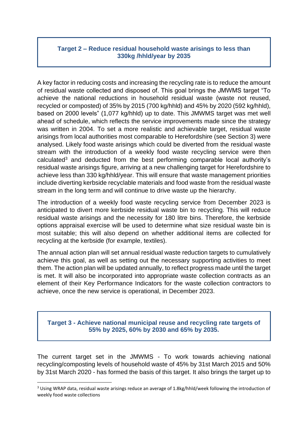### **Target 2 – Reduce residual household waste arisings to less than 330kg /hhld/year by 2035**

A key factor in reducing costs and increasing the recycling rate is to reduce the amount of residual waste collected and disposed of. This goal brings the JMWMS target "To achieve the national reductions in household residual waste (waste not reused, recycled or composted) of 35% by 2015 (700 kg/hhld) and 45% by 2020 (592 kg/hhld), based on 2000 levels" (1,077 kg/hhld) up to date. This JMWMS target was met well ahead of schedule, which reflects the service improvements made since the strategy was written in 2004. To set a more realistic and achievable target, residual waste arisings from local authorities most comparable to Herefordshire (see Section 3) were analysed. Likely food waste arisings which could be diverted from the residual waste stream with the introduction of a weekly food waste recycling service were then calculated<sup>3</sup> and deducted from the best performing comparable local authority's residual waste arisings figure, arriving at a new challenging target for Herefordshire to achieve less than 330 kg/hhld/year. This will ensure that waste management priorities include diverting kerbside recyclable materials and food waste from the residual waste stream in the long term and will continue to drive waste up the hierarchy.

The introduction of a weekly food waste recycling service from December 2023 is anticipated to divert more kerbside residual waste bin to recycling. This will reduce residual waste arisings and the necessity for 180 litre bins. Therefore, the kerbside options appraisal exercise will be used to determine what size residual waste bin is most suitable; this will also depend on whether additional items are collected for recycling at the kerbside (for example, textiles).

The annual action plan will set annual residual waste reduction targets to cumulatively achieve this goal, as well as setting out the necessary supporting activities to meet them. The action plan will be updated annually, to reflect progress made until the target is met. It will also be incorporated into appropriate waste collection contracts as an element of their Key Performance Indicators for the waste collection contractors to achieve, once the new service is operational, in December 2023.

#### **Target 3 - Achieve national municipal reuse and recycling rate targets of 55% by 2025, 60% by 2030 and 65% by 2035.**

The current target set in the JMWMS - To work towards achieving national recycling/composting levels of household waste of 45% by 31st March 2015 and 50% by 31st March 2020 - has formed the basis of this target. It also brings the target up to

<sup>3</sup> Using WRAP data, residual waste arisings reduce an average of 1.8kg/hhld/week following the introduction of weekly food waste collections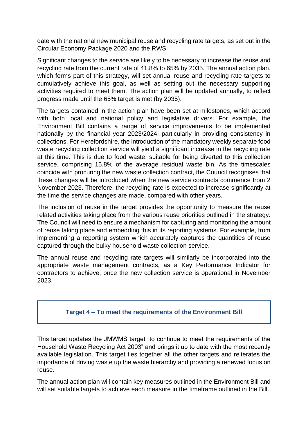date with the national new municipal reuse and recycling rate targets, as set out in the Circular Economy Package 2020 and the RWS.

Significant changes to the service are likely to be necessary to increase the reuse and recycling rate from the current rate of 41.8% to 65% by 2035. The annual action plan, which forms part of this strategy, will set annual reuse and recycling rate targets to cumulatively achieve this goal, as well as setting out the necessary supporting activities required to meet them. The action plan will be updated annually, to reflect progress made until the 65% target is met (by 2035).

The targets contained in the action plan have been set at milestones, which accord with both local and national policy and legislative drivers. For example, the Environment Bill contains a range of service improvements to be implemented nationally by the financial year 2023/2024, particularly in providing consistency in collections. For Herefordshire, the introduction of the mandatory weekly separate food waste recycling collection service will yield a significant increase in the recycling rate at this time. This is due to food waste, suitable for being diverted to this collection service, comprising 15.8% of the average residual waste bin. As the timescales coincide with procuring the new waste collection contract, the Council recognises that these changes will be introduced when the new service contracts commence from 2 November 2023. Therefore, the recycling rate is expected to increase significantly at the time the service changes are made, compared with other years.

The inclusion of reuse in the target provides the opportunity to measure the reuse related activities taking place from the various reuse priorities outlined in the strategy. The Council will need to ensure a mechanism for capturing and monitoring the amount of reuse taking place and embedding this in its reporting systems. For example, from implementing a reporting system which accurately captures the quantities of reuse captured through the bulky household waste collection service.

The annual reuse and recycling rate targets will similarly be incorporated into the appropriate waste management contracts, as a Key Performance Indicator for contractors to achieve, once the new collection service is operational in November 2023.

### **Target 4 – To meet the requirements of the Environment Bill**

This target updates the JMWMS target "to continue to meet the requirements of the Household Waste Recycling Act 2003" and brings it up to date with the most recently available legislation. This target ties together all the other targets and reiterates the importance of driving waste up the waste hierarchy and providing a renewed focus on reuse.

The annual action plan will contain key measures outlined in the Environment Bill and will set suitable targets to achieve each measure in the timeframe outlined in the Bill.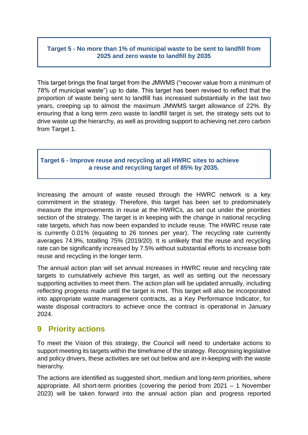### **Target 5 - No more than 1% of municipal waste to be sent to landfill from 2025 and zero waste to landfill by 2035**

This target brings the final target from the JMWMS ("recover value from a minimum of 78% of municipal waste") up to date. This target has been revised to reflect that the proportion of waste being sent to landfill has increased substantially in the last two years, creeping up to almost the maximum JMWMS target allowance of 22%. By ensuring that a long term zero waste to landfill target is set, the strategy sets out to drive waste up the hierarchy, as well as providing support to achieving net zero carbon from Target 1.

#### **Target 6 - Improve reuse and recycling at all HWRC sites to achieve a reuse and recycling target of 85% by 2035.**

Increasing the amount of waste reused through the HWRC network is a key commitment in the strategy. Therefore, this target has been set to predominately measure the improvements in reuse at the HWRCs, as set out under the priorities section of the strategy. The target is in keeping with the change in national recycling rate targets, which has now been expanded to include reuse. The HWRC reuse rate is currently 0.01% (equating to 26 tonnes per year). The recycling rate currently averages 74.9%, totalling 75% (2019/20). It is unlikely that the reuse and recycling rate can be significantly increased by 7.5% without substantial efforts to increase both reuse and recycling in the longer term.

The annual action plan will set annual increases in HWRC reuse and recycling rate targets to cumulatively achieve this target, as well as setting out the necessary supporting activities to meet them. The action plan will be updated annually, including reflecting progress made until the target is met. This target will also be incorporated into appropriate waste management contracts, as a Key Performance Indicator, for waste disposal contractors to achieve once the contract is operational in January 2024.

### <span id="page-22-0"></span>**9 Priority actions**

To meet the Vision of this strategy, the Council will need to undertake actions to support meeting its targets within the timeframe of the strategy. Recognising legislative and policy drivers, these activities are set out below and are in-keeping with the waste hierarchy.

The actions are identified as suggested short, medium and long-term priorities, where appropriate. All short-term priorities (covering the period from 2021 – 1 November 2023) will be taken forward into the annual action plan and progress reported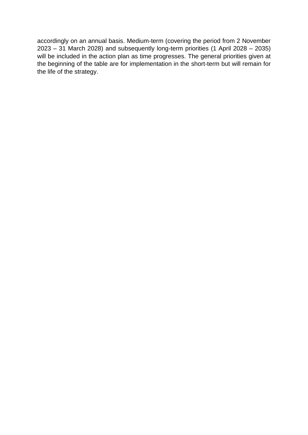accordingly on an annual basis. Medium-term (covering the period from 2 November 2023 – 31 March 2028) and subsequently long-term priorities (1 April 2028 – 2035) will be included in the action plan as time progresses. The general priorities given at the beginning of the table are for implementation in the short-term but will remain for the life of the strategy.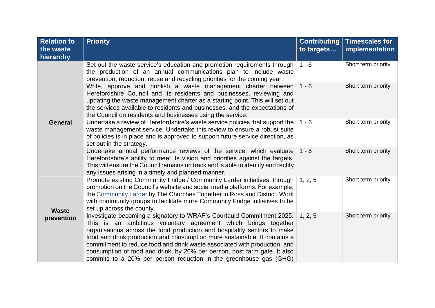| <b>Relation to</b><br>the waste<br>hierarchy | <b>Priority</b>                                                                                                                                                                                                                                                                                                                                                                                                                                                                                                                 | <b>Contributing</b><br>to targets | <b>Timescales for</b><br>implementation |
|----------------------------------------------|---------------------------------------------------------------------------------------------------------------------------------------------------------------------------------------------------------------------------------------------------------------------------------------------------------------------------------------------------------------------------------------------------------------------------------------------------------------------------------------------------------------------------------|-----------------------------------|-----------------------------------------|
|                                              | Set out the waste service's education and promotion requirements through 1 - 6<br>the production of an annual communications plan to include waste<br>prevention, reduction, reuse and recycling priorities for the coming year.                                                                                                                                                                                                                                                                                                |                                   | Short term priority                     |
|                                              | Write, approve and publish a waste management charter between 1 - 6<br>Herefordshire Council and its residents and businesses, reviewing and<br>updating the waste management charter as a starting point. This will set out<br>the services available to residents and businesses, and the expectations of<br>the Council on residents and businesses using the service.                                                                                                                                                       |                                   | Short term priority                     |
| <b>General</b>                               | Undertake a review of Herefordshire's waste service policies that support the 1 - 6<br>waste management service. Undertake this review to ensure a robust suite<br>of policies is in place and is approved to support future service direction, as<br>set out in the strategy.                                                                                                                                                                                                                                                  |                                   | Short term priority                     |
|                                              | Undertake annual performance reviews of the service, which evaluate 1 - 6<br>Herefordshire's ability to meet its vision and priorities against the targets.<br>This will ensure the Council remains on track and is able to identify and rectify<br>any issues arising in a timely and planned manner.                                                                                                                                                                                                                          |                                   | Short term priority                     |
| <b>Waste</b>                                 | Promote existing Community Fridge / Community Larder initiatives, through 1, 2, 5<br>promotion on the Council's website and social media platforms. For example,<br>the Community Larder by The Churches Together in Ross and District. Work<br>with community groups to facilitate more Community Fridge initiatives to be<br>set up across the county.                                                                                                                                                                        |                                   | Short term priority                     |
| prevention                                   | Investigate becoming a signatory to WRAP's Courtauld Commitment 2025.<br>This is an ambitious voluntary agreement which brings together<br>organisations across the food production and hospitality sectors to make<br>food and drink production and consumption more sustainable. It contains a<br>commitment to reduce food and drink waste associated with production, and<br>consumption of food and drink, by 20% per person, post farm gate. It also<br>commits to a 20% per person reduction in the greenhouse gas (GHG) | 1, 2, 5                           | Short term priority                     |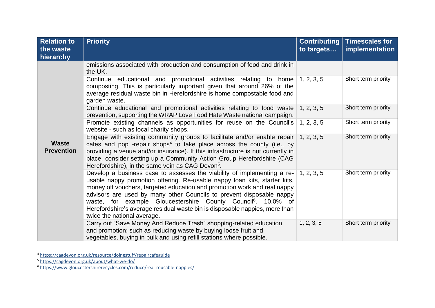| <b>Relation to</b><br>the waste<br>hierarchy | <b>Priority</b>                                                                                                                                                                                                                                                                                                                                                                                                                                                                                                        | <b>Contributing</b><br>to targets | <b>Timescales for</b><br>implementation |
|----------------------------------------------|------------------------------------------------------------------------------------------------------------------------------------------------------------------------------------------------------------------------------------------------------------------------------------------------------------------------------------------------------------------------------------------------------------------------------------------------------------------------------------------------------------------------|-----------------------------------|-----------------------------------------|
|                                              | emissions associated with production and consumption of food and drink in<br>the UK.                                                                                                                                                                                                                                                                                                                                                                                                                                   |                                   |                                         |
|                                              | Continue educational and promotional activities relating to home $1, 2, 3, 5$<br>composting. This is particularly important given that around 26% of the<br>average residual waste bin in Herefordshire is home compostable food and<br>garden waste.                                                                                                                                                                                                                                                                  |                                   | Short term priority                     |
|                                              | Continue educational and promotional activities relating to food waste $\vert$ 1, 2, 3, 5<br>prevention, supporting the WRAP Love Food Hate Waste national campaign.                                                                                                                                                                                                                                                                                                                                                   |                                   | Short term priority                     |
| <b>Waste</b><br><b>Prevention</b>            | Promote existing channels as opportunities for reuse on the Council's<br>website - such as local charity shops.                                                                                                                                                                                                                                                                                                                                                                                                        | 1, 2, 3, 5                        | Short term priority                     |
|                                              | Engage with existing community groups to facilitate and/or enable repair<br>cafes and pop -repair shops <sup>4</sup> to take place across the county (i.e., by<br>providing a venue and/or insurance). If this infrastructure is not currently in<br>place, consider setting up a Community Action Group Herefordshire (CAG<br>Herefordshire), in the same vein as CAG Devon <sup>5</sup> .                                                                                                                            | 1, 2, 3, 5                        | Short term priority                     |
|                                              | Develop a business case to assesses the viability of implementing a re- $\vert$ 1, 2, 3, 5<br>usable nappy promotion offering. Re-usable nappy loan kits, starter kits,<br>money off vouchers, targeted education and promotion work and real nappy<br>advisors are used by many other Councils to prevent disposable nappy<br>waste, for example Gloucestershire County Council <sup>6</sup> . 10.0% of<br>Herefordshire's average residual waste bin is disposable nappies, more than<br>twice the national average. |                                   | Short term priority                     |
|                                              | Carry out "Save Money And Reduce Trash" shopping-related education<br>and promotion; such as reducing waste by buying loose fruit and<br>vegetables, buying in bulk and using refill stations where possible.                                                                                                                                                                                                                                                                                                          | 1, 2, 3, 5                        | Short term priority                     |

<sup>4</sup> <https://cagdevon.org.uk/resource/doingstuff/repaircafeguide>

<sup>5</sup> <https://cagdevon.org.uk/about/what-we-do/>

<sup>6</sup> <https://www.gloucestershirerecycles.com/reduce/real-reusable-nappies/>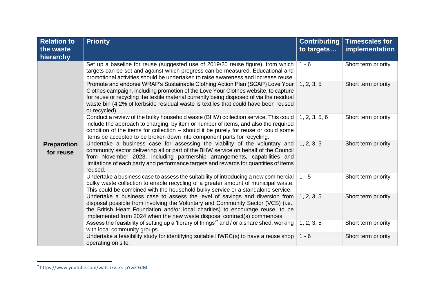| <b>Relation to</b><br>the waste<br>hierarchy | <b>Priority</b>                                                                                                                                                                                                                                                                                                                                                       | <b>Contributing</b><br>to targets | <b>Timescales for</b><br>implementation |
|----------------------------------------------|-----------------------------------------------------------------------------------------------------------------------------------------------------------------------------------------------------------------------------------------------------------------------------------------------------------------------------------------------------------------------|-----------------------------------|-----------------------------------------|
| <b>Preparation</b><br>for reuse              | Set up a baseline for reuse (suggested use of 2019/20 reuse figure), from which<br>targets can be set and against which progress can be measured. Educational and<br>promotional activities should be undertaken to raise awareness and increase reuse.                                                                                                               | $1 - 6$                           | Short term priority                     |
|                                              | Promote and endorse WRAP's Sustainable Clothing Action Plan (SCAP) Love Your<br>Clothes campaign, including promotion of the Love Your Clothes website, to capture<br>for reuse or recycling the textile material currently being disposed of via the residual<br>waste bin (4.2% of kerbside residual waste is textiles that could have been reused<br>or recycled). | 1, 2, 3, 5                        | Short term priority                     |
|                                              | Conduct a review of the bulky household waste (BHW) collection service. This could<br>include the approach to charging, by item or number of items, and also the required<br>condition of the items for collection – should it be purely for reuse or could some<br>items be accepted to be broken down into component parts for recycling.                           | 1, 2, 3, 5, 6                     | Short term priority                     |
|                                              | Undertake a business case for assessing the viability of the voluntary and $\vert$ 1, 2, 3, 5<br>community sector delivering all or part of the BHW service on behalf of the Council<br>from November 2023, including partnership arrangements, capabilities and<br>limitations of each party and performance targets and rewards for quantities of items<br>reused.  |                                   | Short term priority                     |
|                                              | Undertake a business case to assess the suitability of introducing a new commercial<br>bulky waste collection to enable recycling of a greater amount of municipal waste.<br>This could be combined with the household bulky service or a standalone service.                                                                                                         | $1 - 5$                           | Short term priority                     |
|                                              | Undertake a business case to assess the level of savings and diversion from<br>disposal possible from involving the Voluntary and Community Sector (VCS) (i.e.,<br>the British Heart Foundation and/or local charities) to encourage reuse, to be<br>implemented from 2024 when the new waste disposal contract(s) commences.                                         | 1, 2, 3, 5                        | Short term priority                     |
|                                              | Assess the feasibility of setting up a 'library of things' <sup>7</sup> and / or a share shed, working<br>with local community groups.                                                                                                                                                                                                                                | 1, 2, 3, 5                        | Short term priority                     |
|                                              | Undertake a feasibility study for identifying suitable HWRC(s) to have a reuse shop<br>operating on site.                                                                                                                                                                                                                                                             | $1 - 6$                           | Short term priority                     |

<sup>7</sup> [https://www.youtube.com/watch?v=xs\\_pYwztGJM](https://www.youtube.com/watch?v=xs_pYwztGJM)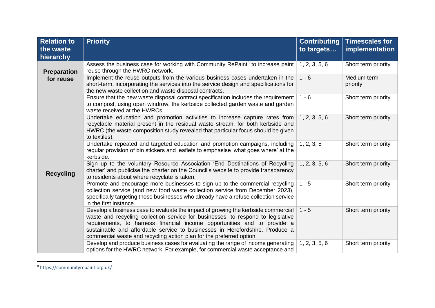| <b>Relation to</b><br>the waste<br>hierarchy | <b>Priority</b>                                                                                                                                                                                                                                                                                                                                                                                           | <b>Contributing</b><br>to targets | <b>Timescales for</b><br>implementation |
|----------------------------------------------|-----------------------------------------------------------------------------------------------------------------------------------------------------------------------------------------------------------------------------------------------------------------------------------------------------------------------------------------------------------------------------------------------------------|-----------------------------------|-----------------------------------------|
| <b>Preparation</b><br>for reuse              | Assess the business case for working with Community RePaint <sup>8</sup> to increase paint 1, 2, 3, 5, 6<br>reuse through the HWRC network.                                                                                                                                                                                                                                                               |                                   | Short term priority                     |
|                                              | Implement the reuse outputs from the various business cases undertaken in the<br>short-term, incorporating the services into the service design and specifications for<br>the new waste collection and waste disposal contracts.                                                                                                                                                                          | $1 - 6$                           | Medium term<br>priority                 |
| <b>Recycling</b>                             | Ensure that the new waste disposal contract specification includes the requirement<br>to compost, using open windrow, the kerbside collected garden waste and garden<br>waste received at the HWRCs.                                                                                                                                                                                                      | $1 - 6$                           | Short term priority                     |
|                                              | Undertake education and promotion activities to increase capture rates from<br>recyclable material present in the residual waste stream, for both kerbside and<br>HWRC (the waste composition study revealed that particular focus should be given<br>to textiles).                                                                                                                                       | 1, 2, 3, 5, 6                     | Short term priority                     |
|                                              | Undertake repeated and targeted education and promotion campaigns, including<br>regular provision of bin stickers and leaflets to emphasise 'what goes where' at the<br>kerbside.                                                                                                                                                                                                                         | 1, 2, 3, 5                        | Short term priority                     |
|                                              | Sign up to the voluntary Resource Association 'End Destinations of Recycling<br>charter' and publicise the charter on the Council's website to provide transparency<br>to residents about where recyclate is taken.                                                                                                                                                                                       | 1, 2, 3, 5, 6                     | Short term priority                     |
|                                              | Promote and encourage more businesses to sign up to the commercial recycling<br>collection service (and new food waste collection service from December 2023),<br>specifically targeting those businesses who already have a refuse collection service<br>in the first instance.                                                                                                                          | $1 - 5$                           | Short term priority                     |
|                                              | Develop a business case to evaluate the impact of growing the kerbside commercial<br>waste and recycling collection service for businesses, to respond to legislative<br>requirements, to harness financial income opportunities and to provide a<br>sustainable and affordable service to businesses in Herefordshire. Produce a<br>commercial waste and recycling action plan for the preferred option. | $1 - 5$                           | Short term priority                     |
|                                              | Develop and produce business cases for evaluating the range of income generating<br>options for the HWRC network. For example, for commercial waste acceptance and                                                                                                                                                                                                                                        | 1, 2, 3, 5, 6                     | Short term priority                     |

<sup>8</sup> <https://communityrepaint.org.uk/>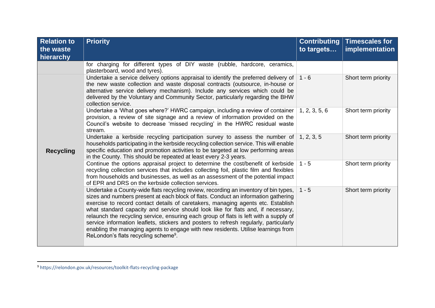| <b>Relation to</b><br>the waste<br>hierarchy | <b>Priority</b>                                                                                                                                                                                                                                                                                                                                                                                                                                                                                                                                                                                                                                                               | <b>Contributing</b><br>to targets | <b>Timescales for</b><br>implementation |
|----------------------------------------------|-------------------------------------------------------------------------------------------------------------------------------------------------------------------------------------------------------------------------------------------------------------------------------------------------------------------------------------------------------------------------------------------------------------------------------------------------------------------------------------------------------------------------------------------------------------------------------------------------------------------------------------------------------------------------------|-----------------------------------|-----------------------------------------|
|                                              | for charging for different types of DIY waste (rubble, hardcore, ceramics,<br>plasterboard, wood and tyres).                                                                                                                                                                                                                                                                                                                                                                                                                                                                                                                                                                  |                                   |                                         |
| <b>Recycling</b>                             | Undertake a service delivery options appraisal to identify the preferred delivery of $\vert$ 1 - 6<br>the new waste collection and waste disposal contracts (outsource, in-house or<br>alternative service delivery mechanism). Include any services which could be<br>delivered by the Voluntary and Community Sector, particularly regarding the BHW<br>collection service.                                                                                                                                                                                                                                                                                                 |                                   | Short term priority                     |
|                                              | Undertake a 'What goes where?' HWRC campaign, including a review of container<br>provision, a review of site signage and a review of information provided on the<br>Council's website to decrease 'missed recycling' in the HWRC residual waste<br>stream.                                                                                                                                                                                                                                                                                                                                                                                                                    | 1, 2, 3, 5, 6                     | Short term priority                     |
|                                              | Undertake a kerbside recycling participation survey to assess the number of $\vert$ 1, 2, 3, 5<br>households participating in the kerbside recycling collection service. This will enable<br>specific education and promotion activities to be targeted at low performing areas<br>in the County. This should be repeated at least every 2-3 years.                                                                                                                                                                                                                                                                                                                           |                                   | Short term priority                     |
|                                              | Continue the options appraisal project to determine the cost/benefit of kerbside<br>recycling collection services that includes collecting foil, plastic film and flexibles<br>from households and businesses, as well as an assessment of the potential impact<br>of EPR and DRS on the kerbside collection services.                                                                                                                                                                                                                                                                                                                                                        | $1 - 5$                           | Short term priority                     |
|                                              | Undertake a County-wide flats recycling review, recording an inventory of bin types,<br>sizes and numbers present at each block of flats. Conduct an information gathering<br>exercise to record contact details of caretakers, managing agents etc. Establish<br>what standard capacity and service should look like for flats and, if necessary,<br>relaunch the recycling service, ensuring each group of flats is left with a supply of<br>service information leaflets, stickers and posters to refresh regularly, particularly<br>enabling the managing agents to engage with new residents. Utilise learnings from<br>ReLondon's flats recycling scheme <sup>9</sup> . | $1 - 5$                           | Short term priority                     |

<sup>9</sup> https://relondon.gov.uk/resources/toolkit-flats-recycling-package